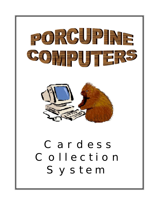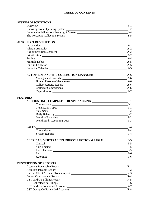#### **TABLE OF CONTENTS**

#### **SYSTEM DESCRIPTIONS**

| Overview                                 |       |
|------------------------------------------|-------|
| Choosing Your Operating System           | $S-2$ |
| General Guidelines for Changing A System | $S-4$ |
| The Porcupine Collection System          | $S-5$ |

#### **AUTOPILOT DESCRIPTION**

|                               | A-1   |
|-------------------------------|-------|
|                               | $A-2$ |
| Assignment/Reassignment       | $A-2$ |
| Prioritization Prioritization | $A-2$ |
|                               | $A-4$ |
|                               | $A-5$ |
| <b>Built-in Collector</b>     | $A-5$ |
| <b>Collector Calendar</b>     | $A-5$ |

| <b>AUTOPILOT AND THE COLLECTION MANAGER</b> | A-6     |
|---------------------------------------------|---------|
| Management Calendar                         | $A-6$   |
| Human Resource Management                   | $A-6$   |
| <b>Collect Activity Report</b>              | $A-6$   |
| <b>Collector Commissions</b>                | A-6     |
| Tape Monitor                                | $A - 7$ |

# **FEATURES**

| <b>ACCOUNTING; COMPLETE TRUST HANDLING</b> | F-1   |
|--------------------------------------------|-------|
| Commissions                                | $F-1$ |
|                                            | $F-1$ |
| Statements                                 | $F-2$ |
| Daily Balancing                            | $F-2$ |
|                                            | $F-2$ |
| Month End Accounting Data                  | $F-3$ |

| <b>SALES</b>          | $_{\rm{F-4}}$ |
|-----------------------|---------------|
| <b>Client Master</b>  | $F-4$         |
| <b>System Reports</b> | $F-4$         |

| <b>CLERICAL, SKIP TRACING, PRECOLLECTION &amp; LEGAL</b> | F-5   |
|----------------------------------------------------------|-------|
| Clerical                                                 | $F-5$ |
| <b>Skip Tracing</b>                                      | $F-5$ |
| Precollections                                           | $F-5$ |
| Legal                                                    | $F-6$ |
| Autopilot                                                | $F-6$ |

#### **DESCRIPTION OF REPORTS**

| <b>Accounts Receivable Report</b>           | $R-1$ |
|---------------------------------------------|-------|
| <b>Accounts Payable Report</b>              | $R-2$ |
| <b>Current Client Advance Totals Report</b> | $R-3$ |
| Debtor Overpayment Report                   | $R-4$ |
| <b>GST Paid On Billings Report</b>          | $R-5$ |
| <b>GST</b> Collected On Billings            | $R-6$ |
| <b>GST Paid On Forwarded Accounts</b>       | $R-7$ |
| GST Owing On Forwarded Accounts             | $R-8$ |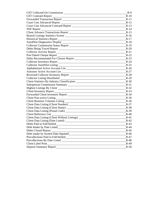| GST Collected On Commission                                                      | $R-9$  |
|----------------------------------------------------------------------------------|--------|
| GST Contraed Report                                                              | $R-10$ |
|                                                                                  | $R-11$ |
|                                                                                  | $R-12$ |
| Court Cost Advanced Contraed Report Learning Court Cost Advanced Contraed Report | $R-13$ |
| NSF Report                                                                       | $R-14$ |
|                                                                                  | $R-15$ |
|                                                                                  | $R-16$ |
| Historical Statistics Report                                                     | $R-17$ |
|                                                                                  | $R-18$ |
|                                                                                  | $R-19$ |
|                                                                                  | $R-20$ |
|                                                                                  | $R-21$ |
|                                                                                  | $R-22$ |
| Debts Recommended For Closure Report                                             | $R-23$ |
| Collector Inventory Report                                                       | $R-24$ |
|                                                                                  | $R-25$ |
|                                                                                  | $R-26$ |
|                                                                                  | $R-27$ |
|                                                                                  | $R-28$ |
|                                                                                  | $R-29$ |
| Client Statistics By Industry Classification ___________________________________ | $R-30$ |
|                                                                                  | $R-31$ |
| Highest Listings By Client                                                       | $R-32$ |
| Client Inventory Report                                                          | $R-33$ |
|                                                                                  | $R-34$ |
|                                                                                  | $R-36$ |
|                                                                                  | $R-36$ |
|                                                                                  | $R-37$ |
| Client Data Listing (Client Name)                                                | $R-38$ |
|                                                                                  | $R-39$ |
| Client Reference List_                                                           | $R-40$ |
| Client Data Listing (Client Without Listings) __________________________________ | $R-41$ |
|                                                                                  | $R-42$ |
| Debts Paid in Full/Settled                                                       | $R-43$ |
| Debt Intake by Date Listed                                                       | $R-44$ |
| Debts Closed Report                                                              | $R-45$ |
|                                                                                  | $R-46$ |
| Precollections Paid in Full/Settled                                              | $R-47$ |
| Precollections By Date Listed New York Channels and Separate Section 2014        | $R-48$ |
| Client Label Print                                                               | $R-49$ |
| Deposit Summary Report                                                           | $R-50$ |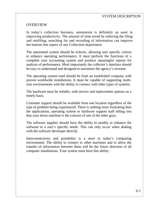#### SYSTEM DESCRIPTION

## OVERVIEW

In today's collection business, automation is definitely an asset in improving productivity. The amount of time saved by reducing the filing and misfiling, searching for and recording of information can improve the bottom line aspect of any Collection department.

The automated system should be eclectic, allowing user specific criteria to enhance operating performance. It must perform the functions of a complete trust accounting system and produce meaningful reports for analysis of performance. Most importantly the collector's interface should be easy to understand and designed to maximize the agency's revenue.

The operating system used should be from an established company with proven worldwide installations. It must be capable of supporting multiuser environments with the ability to connect with other types of systems.

The hardware must be reliable, with service and replacement options on a timely basis.

Customer support should be available from one location regardless of the type of problem being experienced. There is nothing more frustrating then the applications, operating system or hardware support staff telling you that your down machine is the concern of one of the other guys.

The software supplier should have the ability to modify or enhance the software to a user's specific needs. This can only occur when dealing with the software developer directly.

Interconnectivity and portability is a must in today's computing environment. The ability to connect to other machines and to allow the transfer of information between them will be the future direction of all computer installations. Your system must have this ability.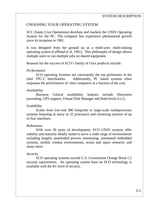## CHOOSING YOUR OPERATING SYSTEM

SCC (Santa Cruz Operations) develops and markets the UNIX Operating System for the PC. The company has experience phenomenal growth since its inception in 1981.

It was designed from the ground up as a multi-user, multi-tasking operating system (LeBlond et al, 1991). This philosophy of design allows multiple users to run multiple jobs on shared equipment.

Reasons for the success of SCO's family of Unix products include:

#### *Performance*

 SCO operating Systems are consistently the top performers in the Intel TPC-C benchmarks. Additionally, PC based systems often surpasses the performance of mini computers at a fraction of the cost.

#### *Availability*

Business Critical availability features include filesystem journaling, UPS support, Virtual Disk Manager and Raid levels 0,1,5,.

#### *Scalability*

Scales from low-end 386 footprints to large-scale multiprocessor systems featuring as many as 32 processors and clustering systems of up to four machines.

#### *Robustness*

With over 30 years of development, SCO UNIX systems offer stability and maturity ideally suited to serve a wide range of environments including lengthy unattended process monitoring, automated embedded systems, mobile combat environments, ocean and space research, and many more.

#### *Security*

SCO operating systems exceed U.S. Government Orange Book C2 security equirements. An operating system base on SCO technology is available with the B1 level of security.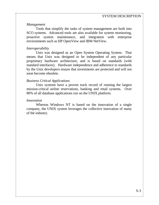#### *Management*

Tools that simplify the tasks of system management are built into SCO systems. Advanced tools are also available for system monitoring, proactive system maintenance, and integration with enterprise environments such as HP OpenView and IBM NetView.

#### *Interoperability*

Unix was designed as an Open System Operating System. That means that Unix was designed to be independent of any particular proprietary hardware architecture, and is based on standards (with standard interfaces). Hardware independence and adherence to standards by the Unix developers ensure that investments are protected and will not soon become obsolete.

#### *Business Critical Applications*

Unix systems have a proven track record of running the largest mission-critical airline reservations, banking and retail systems. Over 80% of all database applications run on the UNIX platform.

#### *Innovation*

Whereas Windows NT is based on the innovation of a single company, the UNIX system leverages the collective innovation of many of the industry.

THE CONSTITUTION OF A CONSTITUTION OF A CONSTITUTION OF A CONSTITUTION OF A CONSTITUTION OF A CONSTITUTION OF A CONSTITUTION OF A CONSTITUTION OF A CONSTITUTION OF A CONSTITUTION OF A CONSTITUTION OF A CONSTITUTION OF A CO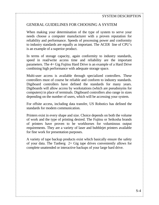## GENERAL GUIDELINES FOR CHOOSING A SYSTEM

When making your determination of the type of system to serve your needs choose a computer manufacturer with a proven reputation for reliability and performance. Speeds of processing power and conformity to industry standards are equally as important. The ACER line of CPU's is an example of a superior product.

In terms of storage capacity, again conformity to industry standards, speed in read/write access time and reliability are the important parameters. The 4+ Gig Fujitsu Hard Drive is an example of a Hard Drive combining high performance with adequate storage space.

Multi-user access is available through specialized controllers. These controllers must of course be reliable and conform to industry standards. Digiboard controllers have defined the standards for many years. Digiboards will allow access by workstations (which are pseudonyms for computers) in place of terminals. Digiboard controllers also range in sizes depending on the number of users, which will be accessing your system.

For offsite access, including data transfer, US Robotics has defined the standards for modem communication.

Printers exist in every shape and size. Choice depends on both the volume of work and the type of printing desired. The Fujitsu or Seikosha brands of printers have proven to be workhorses for voluminous output requirements. They are a variety of laser and bubblejet printers available for fine work for presentation purposes.

A variety of tape backup products exist which basically ensure the safety of your data. The Tanberg 2+ Gig tape drives conveniently allows for complete unattended or interactive backups of your large hard drive.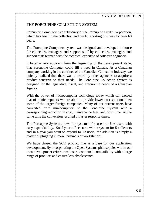## THE PORCUPINE COLLECTION SYSTEM

Porcupine Computers is a subsidiary of the Porcupine Credit Corporation, which has been in the collection and credit reporting business for over 60 years.

The Porcupine Computers system was designed and developed in-house for collectors, managers and support staff by collectors, managers and support staff teamed with the technical expertise of software engineers.

It became very apparent from the beginning of the development stage, that Porcupine Computer could fill a need in Canada. As a Canadian company working in the confines of the Canadian Collection Industry, we quickly realized that there was a desire by other agencies to acquire a product sensitive to their needs. The Porcupine Collection System is designed for the legislative, fiscal, and ergonomic needs of a Canadian Agency.

With the power of microcomputer technology today which can exceed that of minicomputers we are able to provide lower cost solutions then some of the larger foreign companies. Many of our current users have converted from minicomputers to the Porcupine System with a corresponding reduction in cost, maintenance fees, and downtime. At the same time the conversion resulted in faster response times.

The Porcupine System allows for systems of 4 users to 64+ users with easy expandability. So if your office starts with a system for 5 collectors and in a year you want to expand to 12 users, the addition is simply a matter of plugging in more terminals or workstations.

We have chosen the SCO product line as a base for our application development. By incorporating the Open Systems philosophies within our own development criteria we insure continued compatibility with a large range of products and ensure less obsolescence.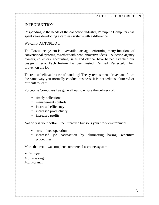## INTRODUCTION

Responding to the needs of the collection industry, Porcupine Computers has spent years developing a cardless system-with a difference!

We call it AUTOPILOT.

The Porcupine system is a versatile package performing many functions of conventional systems, together with new innovative ideas. Collection agency owners, collectors, accounting, sales and clerical have helped establish our design criteria. Each feature has been tested. Refined. Perfected. Then proven on the job.

There is unbelievable ease of handling! The system is menu driven and flows the same way you normally conduct business. It is not tedious, cluttered or difficult to learn.

Porcupine Computers has gone all out to ensure the delivery of:

- timely collections
- management controls
- increased efficiency
- increased productivity
- increased profits

Not only is your bottom line improved but so is your work environment…

- streamlined operations
- increased job satisfaction by eliminating boring, repetitive procedures.

More that retail…a complete commercial accounts system

Multi-user Multi-tasking Multi-branch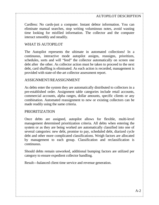Cardless: No cards-just a computer. Instant debtor information. You can eliminate manual searches, stop writing voluminous notes, avoid wasting time looking for misfiled information. The collector and the computer interact smoothly and steadily.

#### WHAT IS AUTOPILOT

The Autopilot represents the ultimate in automated collections! In a continuous, interactive mode autopilot assigns, reassigns, prioritizes, schedules, sorts and will "feed" the collector automatically on screen one debt after the other. As collector action must be taken to proceed to the next debt, card shuffling is eliminated. As each action is recorded, management is provided with state-of-the-art collector assessment report.

#### ASSIGNMENT/REASSIGNMENT

As debts enter the system they are automatically distributed to collectors in a pre-established order. Assignment table categories include retail accounts, commercial accounts, alpha ranges, dollar amounts, specific clients or any combination. Automated reassignment to new or existing collectors can be made readily using the same criteria.

#### PRIORITIZATION

Once debts are assigned, autopilot allows for flexible, multi-level management determined prioritization criteria. All debts when entering the system or as they are being worked are automatically classified into one of several categories: new debt, promise to pay, scheduled debt, diarized cycle debt and other more complicated classifications. Weigh factors are allocated by management to each group. Classification and reclassification is continuous.

Should debts remain unworked, additional bumping factors are utilized per category to ensure expedient collector handling.

Result---balanced client time service and revenue generation.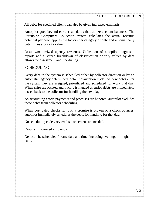All debts for specified clients can also be given increased emphasis.

Autopilot goes beyond current standards that utilize account balances. The Porcupine Computers Collection system calculates the actual revenue potential per debt, applies the factors per category of debt and automatically determines a priority value.

Result…maximized agency revenues. Utilization of autopilot diagnostic reports and a screen breakdown of classification priority values by debt allows for assessment and fine-tuning.

#### SCHEDULING

Every debt in the system is scheduled either by collector direction or by an automatic, agency determined, default diarization cycle. As new debts enter the system they are assigned, prioritized and scheduled for work that day. When skips are located and tracing is flagged as ended debts are immediately tossed back to the collector for handling the next day.

As accounting enters payments and promises are honored, autopilot excludes these debts from collector scheduling.

When post dated checks run out, a promise is broken or a check bounces, autopilot immediately schedules the debts for handling for that day.

No scheduling codes, review lists or screens are needed.

Results…increased efficiency.

Debt can be scheduled for any date and time; including evening, for night calls.

TERM AND A CONTRACT AND A CONTRACT AND A CONTRACT AND A CONTRACT AND A CONTRACT AND A CONTRACT AND A CONTRACT AND A CONTRACT AND A CONTRACT AND A CONTRACT AND A CONTRACT AND A CONTRACT AND A CONTRACT AND A CONTRACT AND A C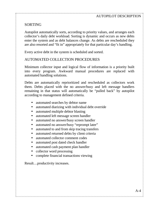## SORTING

Autopilot automatically sorts, according to priority values, and arranges each collector's daily debt workload. Sorting is dynamic and occurs as new debts enter the system and as debt balances change. As debts are rescheduled they are also resorted and "fit in" appropriately for that particular day's handling.

Every active debt in the system is scheduled and sorted.

## AUTOMATED COLLECTION PROCEDURES

Minimum collector input and logical flow of information is a priority built into every program. Awkward manual procedures are replaced with automated handling solutions.

Debts are automatically reprioritized and rescheduled as collectors work them. Debts placed with the no answer/busy and left message handlers remaining in that status will automatically be "pulled back" by autopilot according to management defined criteria.

- automated searches by debtor name
- automated diarizing with individual debt override
- automated multiple debtor blasting
- automated left message screen handler
- automated no answer/busy screen handler
- automated no answer/busy "reprompt later"
- automated to and from skip tracing transfers
- automated returned debts by client criteria
- automated collector comment codes
- automated post dated check handler
- automated cash payment plan handler
- collector word processing
- complete financial transactions viewing

Result…productivity increases.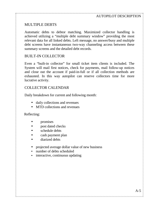## MULTIPLE DEBTS

Automatic debts to debtor matching. Maximized collector handling is achieved utilizing a "multiple debt summary window" providing the most relevant data for all linked debts. Left message, no answer/busy and multiple debt screens have instantaneous two-way channeling access between these summary screens and the detailed debt records.

#### BUILT-IN COLLECTOR

Even a "built-in collector" for small ticket item clients is included. The System will mail first notices, check for payments, mail follow-up notices and close out the account if paid-in-full or if all collection methods are exhausted. In this way autopilot can reserve collectors time for more lucrative activity.

#### COLLECTOR CALENDAR

Daily breakdown for current and following month:

- daily collections and revenues
- MTD collections and revenues

#### Reflecting:

- promises
- post dated checks
- schedule debts
- cash payment plan
- diarized debts
- projected average dollar value of new business

- number of debts scheduled
- interactive, continuous updating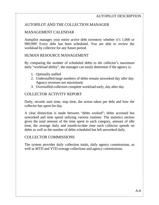## AUTOPILOT AND THE COLLECTION MANAGER

## MANAGEMENT CALENDAR

Autopilot manages your entire active debt inventory whether it's 1,000 or 999,999! Every debt has been scheduled. You are able to review the workload by collector for any future period.

## HUMAN RESOURCE MANAGEMENT

By comparing the number of scheduled debts to the collector's maximum daily "workload ability", the manager can easily determine if the agency is:

- 1. Optimally staffed
- 2. Understaffed-large numbers of debts remain unworked day after day. Agency revenues not maximized.
- 3. Overstaffed-collectors complete workload early, day after day

## COLLECTOR ACTIVITY REPORT

Daily, records start time, stop time, the action taken per debt and how the collector has spent his day.

A clear distinction is made between "debts worked"; debts accessed but unworked and time spend utilizing various routines. The statistics section gives the total amount of the time spent in each category, amount of idle time, the average daily and month-to-date time each collector spends on debts as well as the number of debts scheduled but left unworked daily.

## COLLECTOR COMMISSIONS

The system provides daily collection totals, daily agency commissions, as well as MTD and YTD average collections and agency commissions.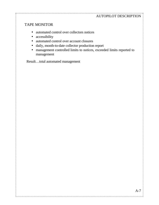#### .<br>Tanih tanih tanih tanih tanih tanih tanih tanih tanih tanih tanih tanih tanih tanih tanih tanih tanih tanih tani AUTOPILOT DESCRIPTION

## TAPE MONITOR

- automated control over collectors notices
- accessibility
- automated control over account closures
- daily, month-to-date collector production report
- management controlled limits to notices, exceeded limits reported to management

Result…total automated management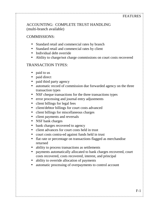## ACCOUNTING: COMPLETE TRUST HANDLING (multi-branch available)

## COMMISSIONS:

- Standard retail and commercial rates by branch
- Standard retail and commercial rates by client
- Individual debt override
- Ability to charge/not charge commissions on court costs recovered

## TRANSACTION TYPES:

- paid to us
- paid direct
- paid third party agency
- automatic record of commission due forwarded agency on the three transaction types
- NSF cheque transactions for the three transactions types
- error processing and journal entry adjustments
- client billings for legal fees
- client/debtor billings for court costs advanced
- client billings for miscellaneous charges
- client payments and reversals
- NSF bank charges
- bank charges recovered to agency
- client advances for court costs held in trust
- court costs contra-ed against funds held in trust
- flat rate or percentage on transactions flagged as merchandise returned
- ability to process transactions as settlements
- payments automatically allocated to bank charges recovered, court costs recovered, costs recovered, interest, and principal
- ability to override allocation of payments
- automatic processing of overpayments to control account

THE CONSTITUTION OF A CONSTITUTION OF A CONSTITUTION OF A CONSTITUTION OF A CONSTITUTION OF A CONSTITUTION OF A CONSTITUTION OF A CONSTITUTION OF A CONSTITUTION OF A CONSTITUTION OF A CONSTITUTION OF A CONSTITUTION OF A CO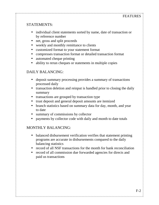## STATEMENTS:

- individual client statements sorted by name, date of transaction or by reference number
- net, gross and split proceeds
- weekly and monthly remittance to clients
- customized format to your statement format
- compresses transaction format or detailed transaction format
- automated cheque printing
- ability to rerun cheques or statements in multiple copies

## DAILY BALANCING:

- deposit summary processing provides a summary of transactions processed daily
- transaction deletion and reinput is handled prior to closing the daily summary
- transactions are grouped by transaction type
- trust deposit and general deposit amounts are itemized
- branch statistics based on summary data for day, month, and year to date
- summary of commissions by collector
- payments by collector code with daily and month to date totals

## MONTHLY BALANCING:

- balanced disbursement verification verifies that statement printing programs are accurate in disbursements compared to the daily balancing statistics
- record of all NSF transactions for the month for bank reconciliation
- record of all commission due forwarded agencies for directs and paid us transactions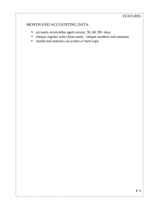## MONTH END ACCOUNTING DATA:

- accounts receivables aged current, 30, 60, 90+ days
- cheque register with client name, cheque numbers and amounts

• month end statistics on screen or hard copy

in the second second and the second control of the second control of the second second second and the second second second second second second second second second second second second second second second second second s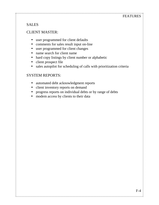## FEATURES

## SALES

## CLIENT MASTER:

- user programmed for client defaults
- comments for sales result input on-line
- user programmed for client changes
- name search for client name
- hard copy listings by client number or alphabetic
- client prospect file
- sales autopilot for scheduling of calls with prioritization criteria

#### SYSTEM REPORTS:

- automated debt acknowledgment reports
- client inventory reports on demand
- progress reports on individual debts or by range of debts

, a cheart and a cheart a cheart and a cheart and a cheart and a cheart and a cheart and a cheart and and and a cheart and and and a

modem access by clients to their data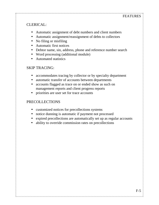## CLERICAL:

- Automatic assignment of debt numbers and client numbers
- Automatic assignment/reassignment of debts to collectors
- No filing or misfiling
- Automatic first notices
- Debtor name, sin, address, phone and reference number search
- Word processing (additional module)
- Automated statistics

## SKIP TRACING:

- accommodates tracing by collector or by specialty department
- automatic transfer of accounts between departments
- accounts flagged as trace on or ended show as such on management reports and client progress reports
- priorities are user set for trace accounts

## PRECOLLECTIONS

- customized notices for precollections systems
- notice dunning is automatic if payment not processed
- expired precollections are automatically set up as regular accounts
- ability to override commission rates on precollections

THE CONSTITUTION OF A CONSTITUTION OF A CONSTITUTION OF A CONSTITUTION OF A CONSTITUTION OF A CONSTITUTION OF A CONSTITUTION OF A CONSTITUTION OF A CONSTITUTION OF A CONSTITUTION OF A CONSTITUTION OF A CONSTITUTION OF A CO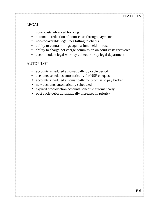## LEGAL

- court costs advanced tracking
- automatic reduction of court costs through payments
- non-recoverable legal fees billing to clients
- ability to contra billings against fund held in trust
- ability to charge/not charge commission on court costs recovered
- accommodate legal work by collector or by legal department

## AUTOPILOT

- accounts scheduled automatically by cycle period
- accounts schedules automatically for NSF cheques
- accounts scheduled automatically for promise to pay broken

, TERRITARIA RICHILIA ERRITARIA ERRITARIA ERRITARIA ERRITA ERRITA ERRITARIA ERRITARIA ERRITA ERRITARIA ERRITAR

- new accounts automatically scheduled
- expired precollection accounts schedule automatically
- post cycle debts automatically increased in priority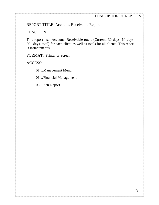REPORT TITLE: Accounts Receivable Report

#### **FUNCTION**

This report lists Accounts Receivable totals (Current, 30 days, 60 days, 90+ days, total) for each client as well as totals for all clients. This report is instantaneous.

FORMAT: Printer or Screen

ACCESS:

01…Management Menu

01…Financial Management

05…A/R Report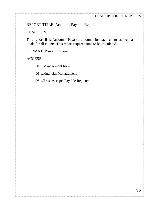#### DESCRIPTION OF REPORTS

## REPORT TITLE: Accounts Payable Report

#### **FUNCTION**

This report lists Accounts Payable amounts for each client as well as totals for all clients. This report requires time to be calculated.

FORMAT: Printer or Screen

ACCESS:

01…Management Menu

01…Financial Management

06…Trust Accepts Payable Register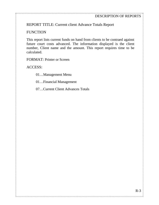REPORT TITLE: Current client Advance Totals Report

## **FUNCTION**

This report lists current funds on hand from clients to be contraed against future court costs advanced. The information displayed is the client number, Client name and the amount. This report requires time to be calculated.

FORMAT: Printer or Screen

ACCESS:

01…Management Menu

01…Financial Management

07…Current Client Advances Totals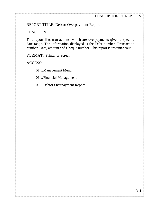## REPORT TITLE: Debtor Overpayment Report

## **FUNCTION**

This report lists transactions, which are overpayments given a specific date range. The information displayed is the Debt number, Transaction number, Date, amount and Cheque number. This report is instantaneous.

FORMAT: Printer or Screen

ACCESS:

01…Management Menu

01…Financial Management

09…Debtor Overpayment Report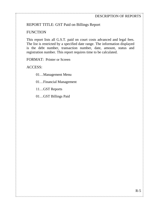## REPORT TITLE: GST Paid on Billings Report

#### **FUNCTION**

This report lists all G.S.T. paid on court costs advanced and legal fees. The list is restricted by a specified date range. The information displayed is the debt number, transaction number, date, amount, status and registration number. This report requires time to be calculated.

FORMAT: Printer or Screen

ACCESS:

01…Management Menu

01…Financial Management

11…GST Reports

01…GST Billings Paid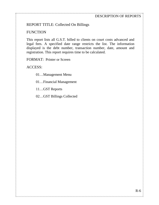#### DESCRIPTION OF REPORTS

## REPORT TITLE: Collected On Billings

#### **FUNCTION**

This report lists all G.S.T. billed to clients on court costs advanced and legal fees. A specified date range restricts the list. The information displayed is the debt number, transaction number, date, amount and registration. This report requires time to be calculated.

FORMAT: Printer or Screen

ACCESS:

01…Management Menu

01…Financial Management

11…GST Reports

02…GST Billings Collected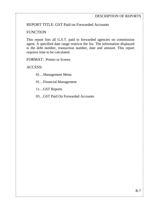## REPORT TITLE: GST Paid on Forwarded Accounts

#### **FUNCTION**

This report lists all G.S.T. paid to forwarded agencies on commission agent. A specified date range restricts the list. The information displayed is the debt number, transaction number, date and amount. This report requires time to be calculated.

FORMAT: Printer or Screen

ACCESS:

01…Management Menu

01…Financial Management

11…GST Reports

03…GST Paid On Forwarded Accounts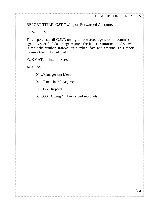## REPORT TITLE: GST Owing on Forwarded Accounts

#### **FUNCTION**

This report lists all G.S.T. owing to forwarded agencies on commission agent. A specified date range restricts the list. The information displayed is the debt number, transaction number, date and amount. This report requires time to be calculated.

FORMAT: Printer or Screen

ACCESS:

01…Management Menu

01…Financial Management

11…GST Reports

03…GST Owing On Forwarded Accounts

, TERRICA DE LE DEL RICA DE LE RICA DEL RICA DE LE RICA DE LE RICA DE LE RICA DE LE RICA DE LE RICA DEL RICA DE LE RICA DE LE RICA DEL RICA DEL LE RICA DEL LE RICA DEL LE RICA DEL LE RICA DEL LE RICA DEL LE RICA DEL LE RIC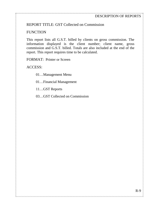## REPORT TITLE: GST Collected on Commission

#### **FUNCTION**

This report lists all G.S.T. billed by clients on gross commission. The information displayed is the client number; client name, gross commission and G.S.T. billed. Totals are also included at the end of the report. This report requires time to be calculated.

FORMAT: Printer or Screen

ACCESS:

01…Management Menu

01…Financial Management

11…GST Reports

03…GST Collected on Commission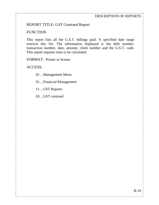## REPORT TITLE: GST Contraed Report

### **FUNCTION**

This report lists all the G.S.T. billings paid. A specified date range restricts this list. The information displayed is the debt number, transaction number, date, amount, client number and the G.S.T. code. This report requires time to be calculated.

FORMAT: Printer or Screen

ACCESS:

01…Management Menu

01…Financial Management

11…GST Reports

03…GST contraed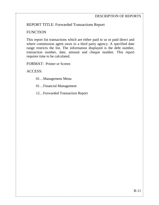## REPORT TITLE: Forwarded Transactions Report

#### **FUNCTION**

This report list transactions which are either paid to us or paid direct and where commission agent owes to a third party agency. A specified date range restricts the list. The information displayed is the debt number, transaction number, date, amount and cheque number. This report requires time to be calculated.

FORMAT: Printer or Screen

ACCESS:

- 01…Management Menu
- 01…Financial Management
- 12…Forwarded Transaction Report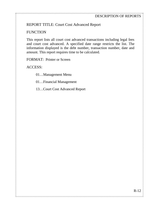## REPORT TITLE: Court Cost Advanced Report

## **FUNCTION**

This report lists all court cost advanced transactions including legal fees and court cost advanced. A specified date range restricts the list. The information displayed is the debt number, transaction number, date and amount. This report requires time to be calculated.

FORMAT: Printer or Screen

ACCESS:

01…Management Menu

01…Financial Management

13…Court Cost Advanced Report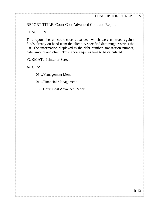## REPORT TITLE: Court Cost Advanced Contraed Report

## **FUNCTION**

This report lists all court costs advanced, which were contraed against funds already on hand from the client. A specified date range restricts the list. The information displayed is the debt number, transaction number, date, amount and client. This report requires time to be calculated.

FORMAT: Printer or Screen

ACCESS:

01…Management Menu

01…Financial Management

13…Court Cost Advanced Report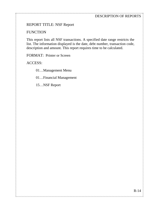#### DESCRIPTION OF REPORTS

## REPORT TITLE: NSF Report

#### **FUNCTION**

This report lists all NSF transactions. A specified date range restricts the list. The information displayed is the date, debt number, transaction code, description and amount. This report requires time to be calculated.

FORMAT: Printer or Screen

ACCESS:

01…Management Menu

01…Financial Management

15…NSF Report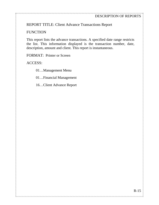## REPORT TITLE: Client Advance Transactions Report

#### **FUNCTION**

This report lists the advance transactions. A specified date range restricts the list. This information displayed is the transaction number, date, description, amount and client. This report is instantaneous.

FORMAT: Printer or Screen

ACCESS:

01…Management Menu

01…Financial Management

16…Client Advance Report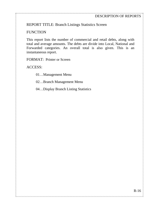## REPORT TITLE: Branch Listings Statistics Screen

### **FUNCTION**

This report lists the number of commercial and retail debts, along with total and average amounts. The debts are divide into Local, National and Forwarded categories. An overall total is also given. This is an instantaneous report.

FORMAT: Printer or Screen

ACCESS:

01…Management Menu

02…Branch Management Menu

04…Display Branch Listing Statistics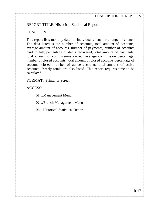## REPORT TITLE: Historical Statistical Report

#### **FUNCTION**

This report lists monthly data for individual clients or a range of clients. The data listed is the number of accounts, total amount of accounts, average amount of accounts, number of payments, number of accounts paid in full, percentage of debts recovered, total amount of payments, total amount of commissions earned, average commission percentage, number of closed accounts, total amount of closed accounts percentage of accounts closed, number of active accounts, total amount of active accounts. Yearly totals are also listed. This report requires time to be calculated.

FORMAT: Printer or Screen

ACCESS:

01…Management Menu

02…Branch Management Menu

06…Historical Statistical Report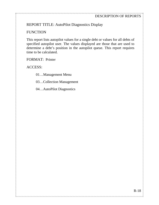## REPORT TITLE: AutoPilot Diagnostics Display

## **FUNCTION**

This report lists autopilot values for a single debt or values for all debts of specified autopilot user. The values displayed are those that are used to determine a debt's position in the autopilot queue. This report requires time to be calculated.

FORMAT: Printer

ACCESS:

01…Management Menu

03…Collection Management

04…AutoPilot Diagnostics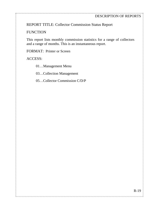REPORT TITLE: Collector Commission Status Report

#### **FUNCTION**

This report lists monthly commission statistics for a range of collectors and a range of months. This is an instantaneous report.

FORMAT: Printer or Screen

ACCESS:

01…Management Menu

03…Collection Management

05…Collector Commission C/D/P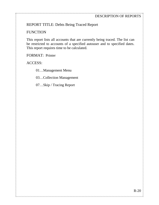## REPORT TITLE: Debts Being Traced Report

#### **FUNCTION**

This report lists all accounts that are currently being traced. The list can be restricted to accounts of a specified autouser and to specified dates. This report requires time to be calculated.

FORMAT: Printer

ACCESS:

01…Management Menu

03…Collection Management

07…Skip / Tracing Report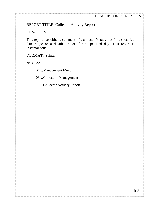## REPORT TITLE: Collector Activity Report

#### **FUNCTION**

This report lists either a summary of a collector's activities for a specified date range or a detailed report for a specified day. This report is instantaneous.

FORMAT: Printer

ACCESS:

01…Management Menu

03…Collection Management

10…Collector Activity Report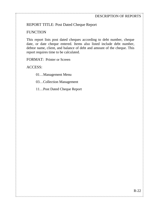## REPORT TITLE: Post Dated Cheque Report

### **FUNCTION**

This report lists post dated cheques according to debt number, cheque date, or date cheque entered. Items also listed include debt number, debtor name, client, and balance of debt and amount of the cheque. This report requires time to be calculated.

FORMAT: Printer or Screen

ACCESS:

01…Management Menu

03…Collection Management

11…Post Dated Cheque Report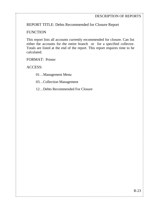REPORT TITLE: Debts Recommended for Closure Report

## **FUNCTION**

This report lists all accounts currently recommended for closure. Can list either the accounts for the entire branch or for a specified collector. Totals are listed at the end of the report. This report requires time to be calculated.

FORMAT: Printer

ACCESS:

01…Management Menu

03…Collection Management

12…Debts Recommended For Closure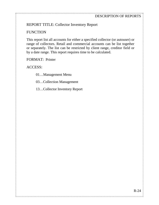## REPORT TITLE: Collector Inventory Report

## **FUNCTION**

This report list all accounts for either a specified collector (or autouser) or range of collectors. Retail and commercial accounts can be list together or separately. The list can be restricted by client range, creditor field or by a date range. This report requires time to be calculated.

FORMAT: Printer

ACCESS:

01…Management Menu

03…Collection Management

13…Collector Inventory Report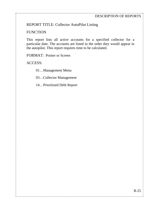## REPORT TITLE: Collector AutoPilot Listing

## **FUNCTION**

This report lists all active accounts for a specified collector for a particular date. The accounts are listed in the order they would appear in the autopilot. This report requires time to be calculated.

FORMAT: Printer or Screen

ACCESS:

01…Management Menu

03…Collector Management

14…Prioritized Debt Report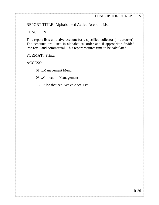REPORT TITLE: Alphabetized Active Account List

## **FUNCTION**

This report lists all active account for a specified collector (or autouser). The accounts are listed in alphabetical order and if appropriate divided into retail and commercial. This report requires time to be calculated.

FORMAT: Printer

ACCESS:

01…Management Menu

03…Collection Management

15…Alphabetized Active Acct. List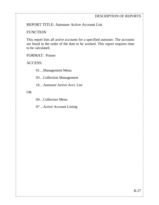REPORT TITLE: Autouser Active Account List

#### **FUNCTION**

This report lists all active accounts for a specified autouser. The accounts are listed in the order of the date to be worked. This report requires time to be calculated.

ANY FAOITRA ANY FAOITRANY FAOITRANA ANY FAOITRA ANY FAOITRANA FAOITRANA FAOITRANA FAOITRANA FAOITRANA FAOITRANA

FORMAT: Printer

ACCESS:

01…Management Menu

03…Collection Management

16…Autouser Active Acct. List

OR

04…Collectors Menu

07…Active Account Listing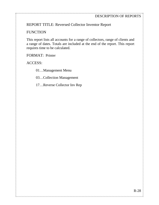REPORT TITLE: Reversed Collector Inventor Report

#### **FUNCTION**

This report lists all accounts for a range of collectors, range of clients and a range of dates. Totals are included at the end of the report. This report requires time to be calculated.

FORMAT: Printer

ACCESS:

01…Management Menu

03…Collection Management

17…Reverse Collector Inv Rep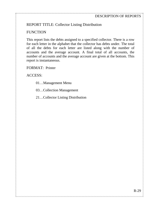## REPORT TITLE: Collector Listing Distribution

## **FUNCTION**

This report lists the debts assigned to a specified collector. There is a row for each letter in the alphabet that the collector has debts under. The total of all the debts for each letter are listed along with the number of accounts and the average account. A final total of all accounts, the number of accounts and the average account are given at the bottom. This report is instantaneous.

, TERRICA DE LE DEL RICA DE LE RICA DEL RICA DE LE RICA DE LE RICA DE LE RICA DE LE RICA DE LE RICA DEL RICA DE LE RICA DE LE RICA DEL RICA DEL LE RICA DEL LE RICA DEL LE RICA DEL LE RICA DEL LE RICA DEL LE RICA DEL LE RIC

FORMAT: Printer

ACCESS:

- 01…Management Menu
- 03…Collection Management
- 21…Collector Listing Distribution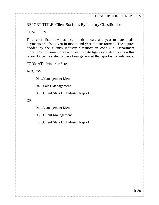## REPORT TITLE: Client Statistics By Industry Classification

#### **FUNCTION**

This report lists new business month to date and year to date totals. Payments are also given in month and year to date formats. The figures divided by the client's industry classification code (i.e. Department Store). Commission month and year to date figures are also listed on this report. Once the statistics have been generated the report is instantaneous.

FORMAT: Printer or Screen

ACCESS:

01…Management Menu

04…Sales Management

09…Client Stats By Industry Report

OR

01…Management Menu

06…Client Management

10…Client Stats By Industry Report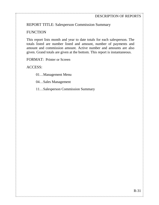REPORT TITLE: Salesperson Commission Summary

## **FUNCTION**

This report lists month and year to date totals for each salesperson. The totals listed are number listed and amount, number of payments and amount and commission amount. Active number and amounts are also given. Grand totals are given at the bottom. This report is instantaneous.

FORMAT: Printer or Screen

ACCESS:

01…Management Menu

04…Sales Management

11…Salesperson Commission Summary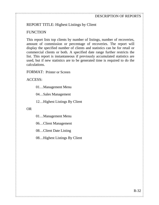## REPORT TITLE: Highest Listings by Client

#### **FUNCTION**

This report lists top clients by number of listings, number of recoveries, amount of commission or percentage of recoveries. The report will display the specified number of clients and statistics can be for retail or commercial clients or both. A specified date range further restricts the list. This report is instantaneous if previously accumulated statistics are used, but if new statistics are to be generated time is required to do the calculations.

FORMAT: Printer or Screen

ACCESS:

01…Management Menu

04…Sales Management

12…Highest Listings By Client

OR

01…Management Menu

06…Client Management

08…Client Date Listing

08…Highest Listings By Client

, TERRICA DE LE DEL RICA DE LE RICA DEL RICA DE LE RICA DE LE RICA DE LE RICA DE LE RICA DE LE RICA DEL RICA DE LE RICA DE LE RICA DEL RICA DEL LE RICA DEL LE RICA DEL LE RICA DEL LE RICA DEL LE RICA DEL LE RICA DEL LE RIC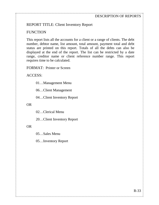## REPORT TITLE: Client Inventory Report

#### **FUNCTION**

This report lists all the accounts for a client or a range of clients. The debt number, debtor name, list amount, total amount, payment total and debt status are printed on this report. Totals of all the debts can also be displayed at the end of the report. The list can be restricted by a date range, creditor name or client reference number range. This report requires time to be calculated.

, TERRICA DE LE DEL RICA DE LE RICA DEL RICA DE LE RICA DE LE RICA DE LE RICA DE LE RICA DE LE RICA DEL RICA DE LE RICA DE LE RICA DEL RICA DEL LE RICA DEL LE RICA DEL LE RICA DEL LE RICA DEL LE RICA DEL LE RICA DEL LE RIC

FORMAT: Printer or Screen

ACCESS:

01…Management Menu

06…Client Management

04…Client Inventory Report

#### OR

02…Clerical Menu

20…Client Inventory Report

#### OR

05…Sales Menu

05…Inventory Report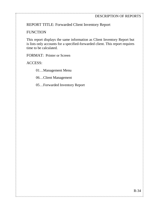REPORT TITLE: Forwarded Client Inventory Report

#### **FUNCTION**

This report displays the same information as Client Inventory Report but is lists only accounts for a specified-forwarded client. This report requires time to be calculated.

FORMAT: Printer or Screen

ACCESS:

01…Management Menu

06…Client Management

05…Forwarded Inventory Report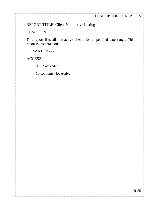#### DESCRIPTION OF REPORTS

## REPORT TITLE: Client Non-active Listing

## **FUNCTION**

This report lists all non-active clients for a specified date range. This report is instantaneous.

FORMAT: Printer

ACCESS:

05…Sales Menu

10…Clients Not Active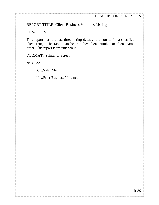## REPORT TITLE: Client Business Volumes Listing

#### **FUNCTION**

This report lists the last three listing dates and amounts for a specified client range. The range can be in either client number or client name order. This report is instantaneous.

FORMAT: Printer or Screen

ACCESS:

05…Sales Menu

11…Print Business Volumes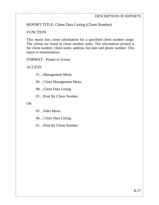REPORT TITLE: Client Data Listing (Client Number)

### **FUNCTION**

This report lists client information for a specified client number range. The clients are listed in client number order. The information printed is the client number, client name, address, list date and phone number. This report is instantaneous.

FORMAT: Printer or Screen

ACCESS:

01…Management Menu

06…Client Management Menu

08…Client Data Listing

01…Print By Client Number

OR

05…Sales Menu

06…Client Data Listing

01…Print By Client Number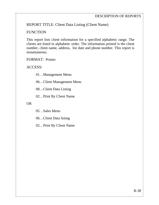REPORT TITLE: Client Data Listing (Client Name)

#### **FUNCTION**

This report lists client information for a specified alphabetic range. The clients are listed in alphabetic order. The information printed is the client number, client name, address, list date and phone number. This report is instantaneous.

, TERRICA DE LE DEL RICA DE LE RICA DEL RICA DE LE RICA DE LE RICA DE LE RICA DE LE RICA DE LE RICA DEL RICA DE LE RICA DE LE RICA DEL RICA DEL LE RICA DEL LE RICA DEL LE RICA DEL LE RICA DEL LE RICA DEL LE RICA DEL LE RIC

FORMAT: Printer

ACCESS:

01…Management Menu

06…Client Management Menu

08…Client Data Listing

02…Print By Client Name

OR

05…Sales Menu

06…Client Data listing

02…Print By Client Name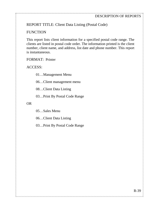## REPORT TITLE: Client Data Listing (Postal Code)

## **FUNCTION**

This report lists client information for a specified postal code range. The clients are listed in postal code order. The information printed is the client number, client name, and address, list date and phone number. This report is instantaneous.

FORMAT: Printer

ACCESS:

01…Management Menu

06…Client management menu

08…Client Data Listing

03…Print By Postal Code Range

#### OR

05…Sales Menu

06…Client Data Listing

03…Print By Postal Code Range

, TELEVICION IN TELEVICION IN TELEVICION IN TELEVICION IN TELEVICION IN TELEVICION IN TELEVICION IN TELEVICION IN TELEVICION IN TELEVICION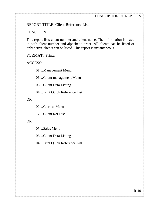#### DESCRIPTION OF REPORTS

#### REPORT TITLE: Client Reference List

#### **FUNCTION**

This report lists client number and client name. The information is listed in both client number and alphabetic order. All clients can be listed or only active clients can be listed. This report is instantaneous.

FORMAT: Printer

ACCESS:

01…Management Menu

06…Client management Menu

08…Client Data Listing

04…Print Quick Reference List

OR

02…Clerical Menu

17…Client Ref List

#### OR

05…Sales Menu

06…Client Data Listing

04…Print Quick Reference List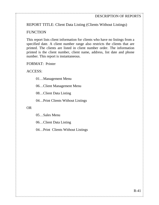REPORT TITLE: Client Data Listing (Clients Without Listings)

#### **FUNCTION**

This report lists client information for clients who have no listings from a specified date. A client number range also restricts the clients that are printed. The clients are listed in client number order. The information printed is the client number, client name, address, list date and phone number. This report is instantaneous.

FORMAT: Printer

ACCESS:

01…Management Menu

06…Client Management Menu

08…Client Data Listing

04…Print Clients Without Listings

OR

05…Sales Menu

06…Client Data Listing

04…Print Clients Without Listings

, TERRICA DE LE DEL RICA DE LE RICA DEL RICA DE LE RICA DE LE RICA DE LE RICA DE LE RICA DE LE RICA DEL RICA DE LE RICA DE LE RICA DEL RICA DEL LE RICA DEL LE RICA DEL LE RICA DEL LE RICA DEL LE RICA DEL LE RICA DEL LE RIC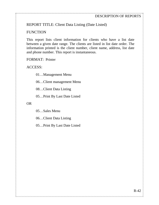## REPORT TITLE: Client Data Listing (Date Listed)

#### **FUNCTION**

This report lists client information for clients who have a list date between a given date range. The clients are listed in list date order. The information printed is the client number, client name, address, list date and phone number. This report is instantaneous.

FORMAT: Printer

ACCESS:

01…Management Menu

06…Client management Menu

08…Client Data Listing

05…Print By Last Date Listed

#### OR

05…Sales Menu

06…Client Data Listing

05…Print By Last Date Listed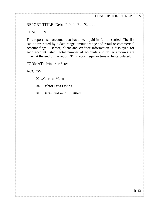## REPORT TITLE: Debts Paid in Full/Settled

## **FUNCTION**

This report lists accounts that have been paid in full or settled. The list can be restricted by a date range, amount range and retail or commercial account flags. Debtor, client and creditor information is displayed for each account listed. Total number of accounts and dollar amounts are given at the end of the report. This report requires time to be calculated.

FORMAT: Printer or Screen

ACCESS:

02…Clerical Menu

04…Debtor Data Listing

01…Debts Paid in Full/Settled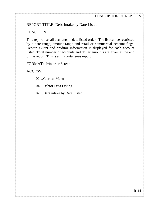## REPORT TITLE: Debt Intake by Date Listed

## **FUNCTION**

This report lists all accounts in date listed order. The list can be restricted by a date range, amount range and retail or commercial account flags. Debtor. Client and creditor information is displayed for each account listed. Total number of accounts and dollar amounts are given at the end of the report. This is an instantaneous report.

FORMAT: Printer or Screen

ACCESS:

02…Clerical Menu

04…Debtor Data Listing

02…Debt intake by Date Listed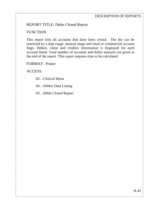## REPORT TITLE: Debts Closed Report

## **FUNCTION**

This report lists all accounts that have been closed. The list can be restricted by a date range, amount range and retail or commercial account flags. Debtor, client and creditor information is displayed for each account listed. Total number of accounts and dollar amounts are given at the end of the report. This report requires time to be calculated

FORMAT: Printer

ACCESS:

02…Clerical Menu

04…Debtor Data Listing

03…Debts Closed Report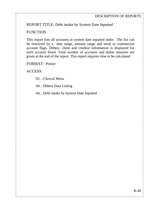## REPORT TITLE: Debt intake by System Date Inputted

### **FUNCTION**

This report lists all accounts in system date inputted order. The list can be restricted by a date range, amount range and retail or commercial account flags. Debtor, client and creditor information is displayed for each account listed. Total number of accounts and dollar amounts are given at the end of the report. This report requires time to be calculated

FORMAT: Printer

ACCESS:

02…Clerical Menu

04…Debtor Data Listing

04…Debt intake by System Date Inputted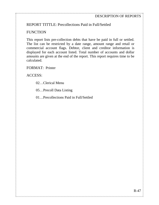## REPORT TITTLE: Precollections Paid in Full/Settled

## **FUNCTION**

This report lists pre-collection debts that have be paid in full or settled. The list can be restricted by a date range, amount range and retail or commercial account flags. Debtor, client and creditor information is displayed for each account listed. Total number of accounts and dollar amounts are given at the end of the report. This report requires time to be calculated.

FORMAT: Printer

ACCESS:

- 02…Clerical Menu
- 05…Precoll Data Listing
- 01…Precollections Paid in Full/Settled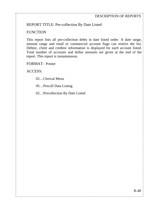## REPORT TITLE: Pre-collection By Date Listed

#### **FUNCTION**

This report lists all pre-collection debts in date listed order. A date range, amount range and retail or commercial account flags can restrict the list. Debtor, client and creditor information is displayed for each account listed. Total number of accounts and dollar amounts are given at the end of the report. This report is instantaneous.

FORMAT: Printer

ACCESS:

02…Clerical Menu

05…Precoll Data Listing

02…Precollection By Date Listed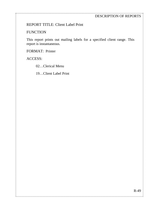#### DESCRIPTION OF REPORTS

### REPORT TITLE: Client Label Print

#### **FUNCTION**

This report prints out mailing labels for a specified client range. This report is instantaneous.

FORMAT: Printer

ACCESS:

02…Clerical Menu

19…Client Label Print